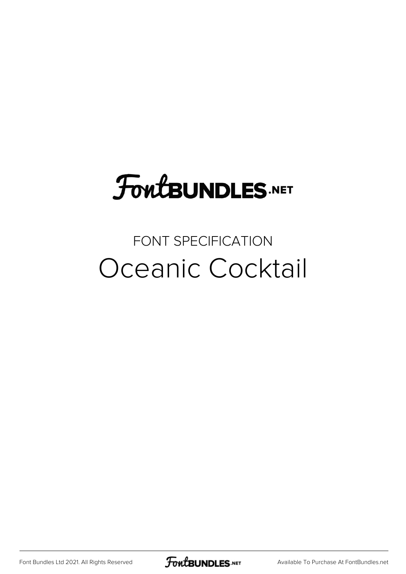# **FoutBUNDLES.NET**

### FONT SPECIFICATION Oceanic Cocktail

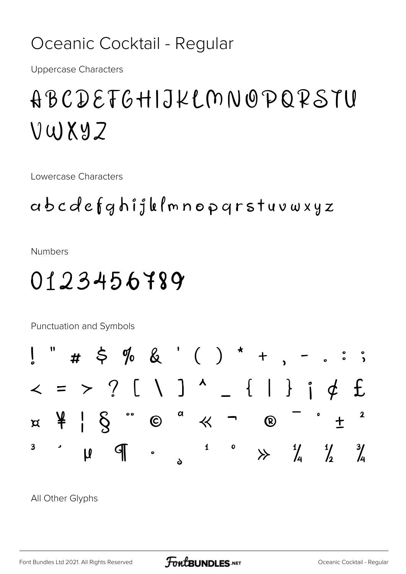#### Oceanic Cocktail - Regular

**Uppercase Characters** 

# ABCDEFGHIJKLMNOPQRSTU VWXYZ

Lowercase Characters

#### abcdefghijklmnopgrstuvwxyz

**Numbers** 

## 0123456789

Punctuation and Symbols  $# 5 \% 8 ( ) * + , \mathsf I$  $\langle$  = > ?  $\rangle$   $\langle$   $\rangle$   $\rangle$   $\langle$   $\rangle$   $\rangle$   $\wedge$  $-$  {  $\vert$  } ;  $\phi$  £  $\alpha$  $\frac{4}{5}$  |  $\frac{6}{5}$  $\boldsymbol{2}$  $\odot$ 巜  $\bigcirc$  $\beta$  $\ddag$  $\overline{\mathbf{3}}$  $\mathbf 1$  $\bullet$  $\frac{1}{4}$  $\frac{1}{2}$  $\frac{3}{4}$  $\mathbb{F}$  $\overline{u}$  $\overleftrightarrow{ }$ S

All Other Glyphs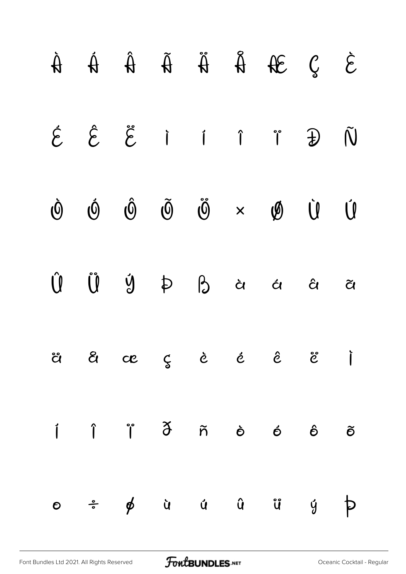|  |  |  | $\begin{array}{ccccccccccccccccc} \hat{A} & \hat{A} & \hat{A} & \hat{A} & \hat{A} & \hat{A} & \hat{A} & \hat{B} & \hat{C} & \hat{C} & \end{array}$                                                                                                                                                                                 |  |
|--|--|--|------------------------------------------------------------------------------------------------------------------------------------------------------------------------------------------------------------------------------------------------------------------------------------------------------------------------------------|--|
|  |  |  | $\acute{\mathfrak{E}}\hspace{0.1in} \hat{\mathfrak{E}}\hspace{0.1in} \dot{\mathfrak{l}}\hspace{0.1in} \hat{\mathfrak{l}}\hspace{0.1in} \hat{\mathfrak{l}}\hspace{0.1in} \hat{\mathfrak{l}}\hspace{0.1in} \hat{\mathfrak{N}}$                                                                                                       |  |
|  |  |  | $\label{eq:16} \dot{\mathbb{O}} \quad \  \  \, \dot{\mathbb{O}} \quad \  \  \, \dot{\mathbb{O}} \quad \  \  \, \ddot{\mathbb{O}} \quad \  \  \, \ddot{\mathbb{O}} \quad \  \  \, \dot{\mathbb{O}} \quad \  \  \, \dot{\mathbb{O}} \quad \  \  \, \dot{\mathbb{O}} \quad \  \  \, \dot{\mathbb{U}} \quad \  \  \, \dot{\mathbb{U}}$ |  |
|  |  |  | $\begin{array}{ccccccccccccccccc} \hat{U} & \hat{U} & \hat{U} & \hat{U} & \hat{P} & \hat{P} & \hat{G} & \hat{G} & \hat{G} & \hat{G} & \hat{Q} & \end{array}$                                                                                                                                                                       |  |
|  |  |  | a a ce ç è é ê e j                                                                                                                                                                                                                                                                                                                 |  |
|  |  |  |                                                                                                                                                                                                                                                                                                                                    |  |
|  |  |  |                                                                                                                                                                                                                                                                                                                                    |  |